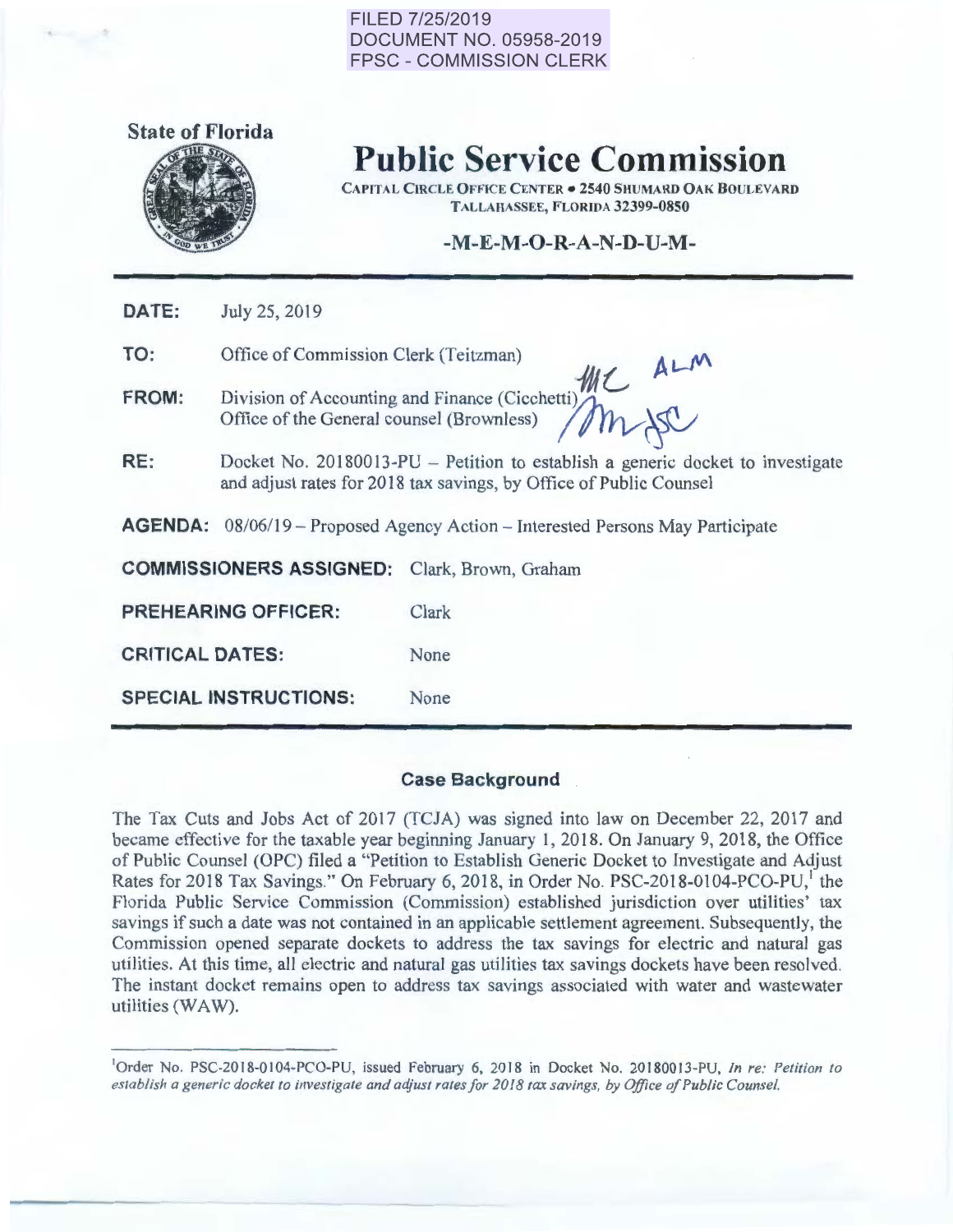#### FILED 7/25/2019 DOCUMENT NO. 05958-2019 FPSC- COMMISSION CLERK



# Public Service Commission

CAPITAL CIRCLE OFFICE CENTER • 2540 SHUMARD OAK BOULEVARD TALLAHASSEE, FLORIDA 32399-0850

### -M-E-M-O-R-A-N-D-U-M-

| DATE:                                                                                   | July 25, 2019                                                                                                                                        |                      |  |  |  |  |
|-----------------------------------------------------------------------------------------|------------------------------------------------------------------------------------------------------------------------------------------------------|----------------------|--|--|--|--|
| TO:                                                                                     | Office of Commission Clerk (Teitzman)                                                                                                                |                      |  |  |  |  |
| <b>FROM:</b>                                                                            | the ALM<br>Division of Accounting and Finance (Cicchetti)<br>Office of the General counsel (Brownless)                                               |                      |  |  |  |  |
| RE:                                                                                     | Docket No. 20180013-PU – Petition to establish a generic docket to investigate<br>and adjust rates for 2018 tax savings, by Office of Public Counsel |                      |  |  |  |  |
| <b>AGENDA:</b> $08/06/19$ – Proposed Agency Action – Interested Persons May Participate |                                                                                                                                                      |                      |  |  |  |  |
| <b>COMMISSIONERS ASSIGNED:</b>                                                          |                                                                                                                                                      | Clark, Brown, Graham |  |  |  |  |
| <b>PREHEARING OFFICER:</b>                                                              |                                                                                                                                                      | Clark                |  |  |  |  |
| <b>CRITICAL DATES:</b>                                                                  |                                                                                                                                                      | None                 |  |  |  |  |
| <b>SPECIAL INSTRUCTIONS:</b>                                                            |                                                                                                                                                      | None                 |  |  |  |  |

#### Case Background .

The Tax Cuts and Jobs Act of 2017 (TCJA) was signed into law on December 22, 2017 and became effective for the taxable year beginning January 1, 2018. On January 9, 2018, the Office of Public Counsel (OPC) filed a "Petition to Establish Generic Docket to Investigate and Adjust Rates for 2018 Tax Savings." On February 6, 2018, in Order No. PSC-2018-0104-PCO-PU,<sup>1</sup> the Florida Public Service Commission (Commission) established jurisdiction over utilities['](#page-0-0) tax savings if such a date was not contained in an applicable settlement agreement. Subsequently, the Commission opened separate dockets to address the tax savings for electric and natural gas utilities. At this time, all electric and natural gas utilities tax savings dockets have been resolved. The instant docket remains open to address tax savings associated with water and wastewater utilities (WAW).

<span id="page-0-0"></span><sup>&</sup>lt;sup>1</sup>Order No. PSC-2018-0104-PCO-PU, issued February 6, 2018 in Docket No. 20180013-PU, In re: Petition to *establish a generic docket to investigate and adjust rates for 2018 tax savings, by Office of Public Counsel.*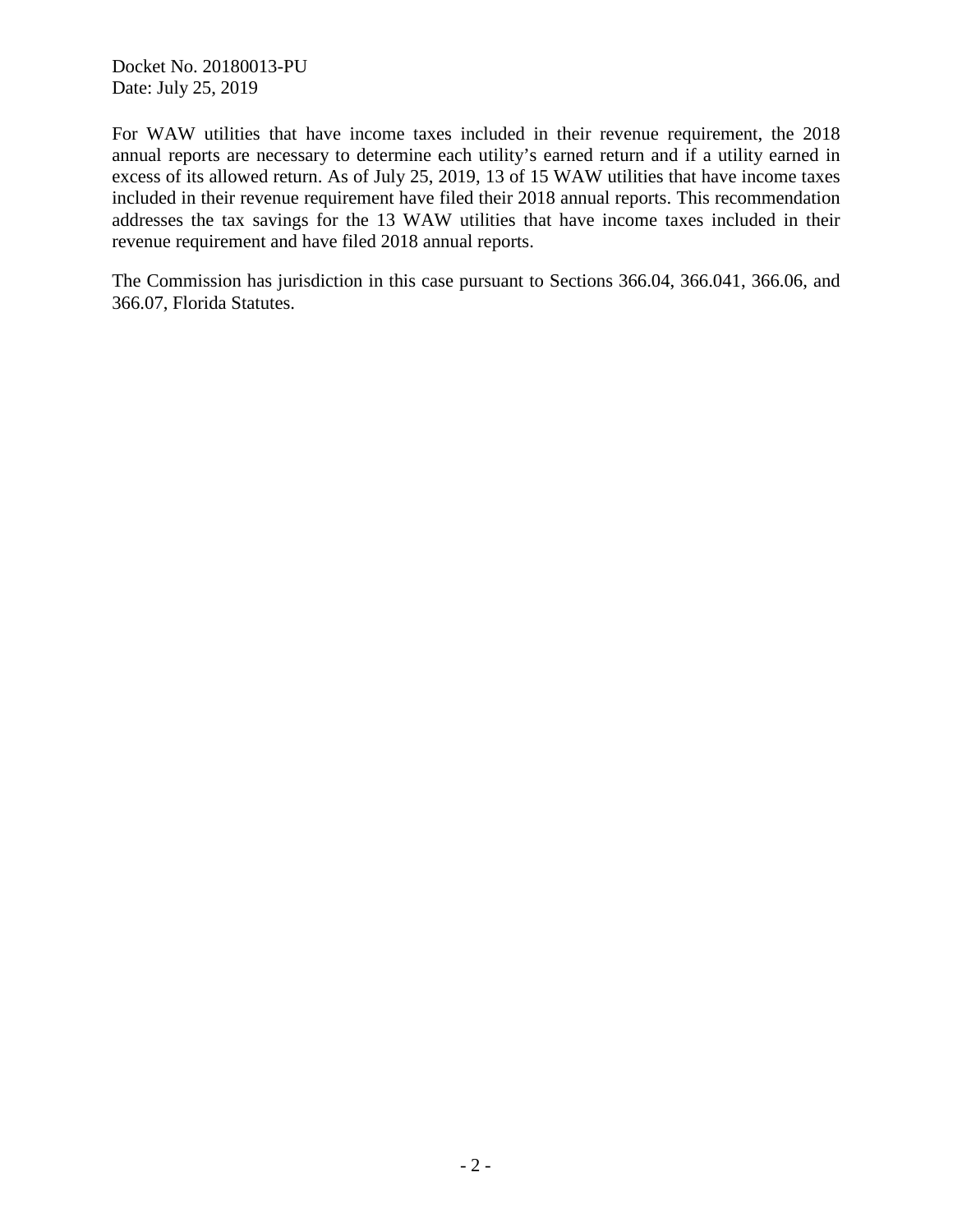Docket No. 20180013-PU Date: July 25, 2019

For WAW utilities that have income taxes included in their revenue requirement, the 2018 annual reports are necessary to determine each utility's earned return and if a utility earned in excess of its allowed return. As of July 25, 2019, 13 of 15 WAW utilities that have income taxes included in their revenue requirement have filed their 2018 annual reports. This recommendation addresses the tax savings for the 13 WAW utilities that have income taxes included in their revenue requirement and have filed 2018 annual reports.

The Commission has jurisdiction in this case pursuant to Sections 366.04, 366.041, 366.06, and 366.07, Florida Statutes.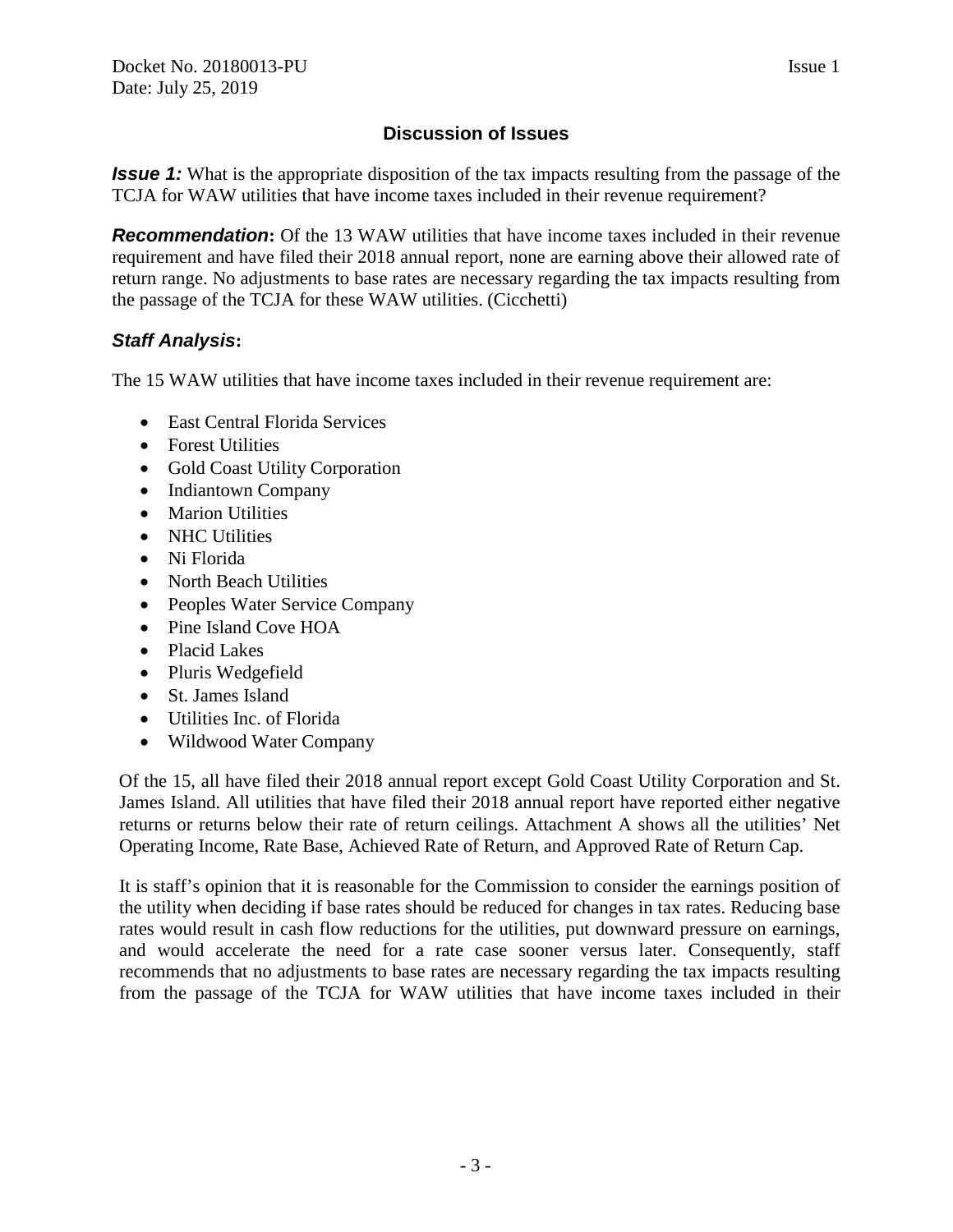*Issue 1:* What is the appropriate disposition of the tax impacts resulting from the passage of the TCJA for WAW utilities that have income taxes included in their revenue requirement?

**Recommendation:** Of the 13 WAW utilities that have income taxes included in their revenue requirement and have filed their 2018 annual report, none are earning above their allowed rate of return range. No adjustments to base rates are necessary regarding the tax impacts resulting from the passage of the TCJA for these WAW utilities. (Cicchetti)

## *Staff Analysis***:**

The 15 WAW utilities that have income taxes included in their revenue requirement are:

- East Central Florida Services
- Forest Utilities
- Gold Coast Utility Corporation
- Indiantown Company
- Marion Utilities
- NHC Utilities
- Ni Florida
- North Beach Utilities
- Peoples Water Service Company
- Pine Island Cove HOA
- Placid Lakes
- Pluris Wedgefield
- St. James Island
- Utilities Inc. of Florida
- Wildwood Water Company

Of the 15, all have filed their 2018 annual report except Gold Coast Utility Corporation and St. James Island. All utilities that have filed their 2018 annual report have reported either negative returns or returns below their rate of return ceilings. Attachment A shows all the utilities' Net Operating Income, Rate Base, Achieved Rate of Return, and Approved Rate of Return Cap.

It is staff's opinion that it is reasonable for the Commission to consider the earnings position of the utility when deciding if base rates should be reduced for changes in tax rates. Reducing base rates would result in cash flow reductions for the utilities, put downward pressure on earnings, and would accelerate the need for a rate case sooner versus later. Consequently, staff recommends that no adjustments to base rates are necessary regarding the tax impacts resulting from the passage of the TCJA for WAW utilities that have income taxes included in their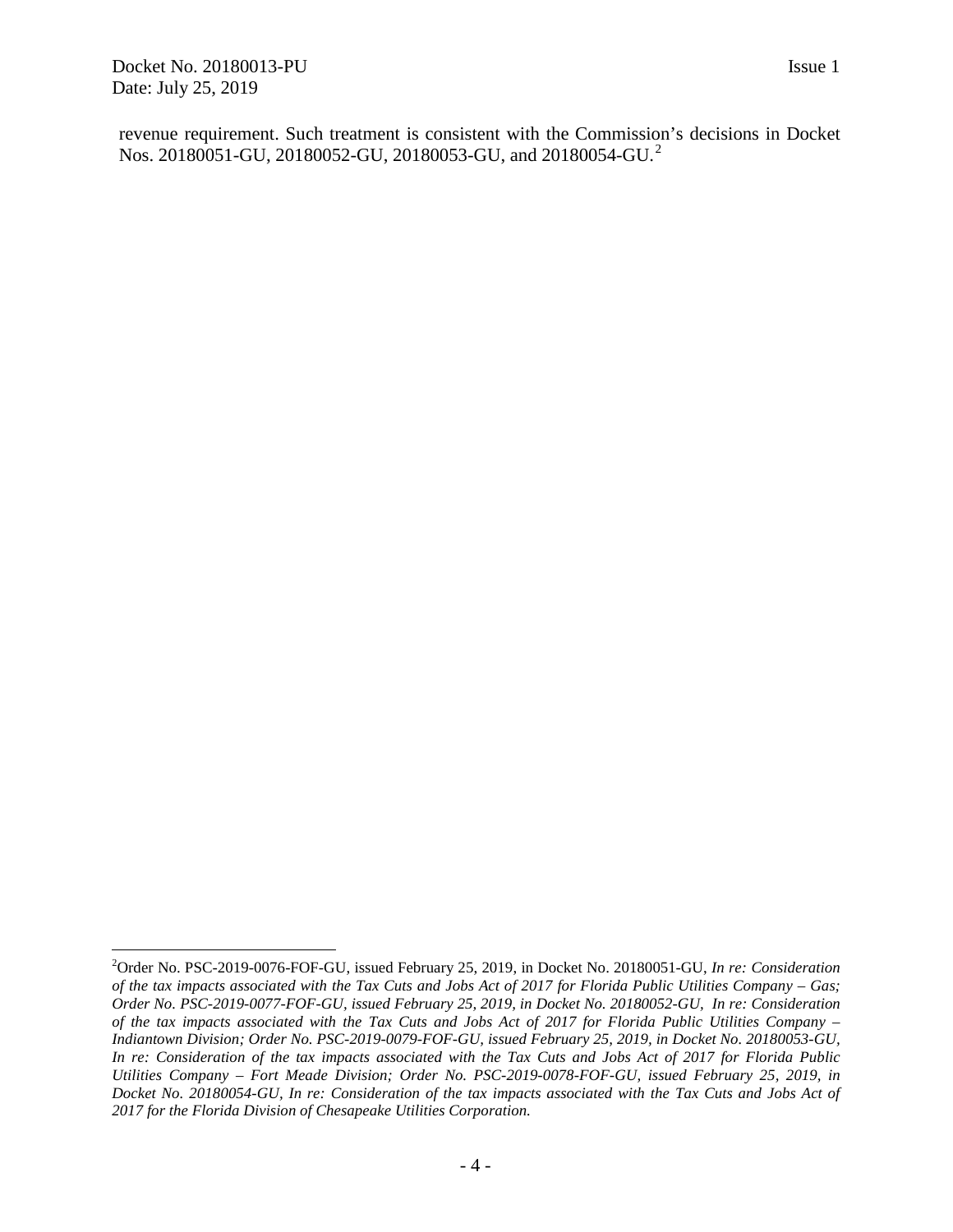$\overline{a}$ 

revenue requirement. Such treatment is consistent with the Commission's decisions in Docket Nos. [2](#page-3-0)0180051-GU, 20180052-GU, 20180053-GU, and 20180054-GU.<sup>2</sup>

<span id="page-3-0"></span><sup>2</sup> Order No. PSC-2019-0076-FOF-GU, issued February 25, 2019, in Docket No. 20180051-GU, *In re: Consideration of the tax impacts associated with the Tax Cuts and Jobs Act of 2017 for Florida Public Utilities Company – Gas; Order No. PSC-2019-0077-FOF-GU, issued February 25, 2019, in Docket No. 20180052-GU, In re: Consideration of the tax impacts associated with the Tax Cuts and Jobs Act of 2017 for Florida Public Utilities Company – Indiantown Division; Order No. PSC-2019-0079-FOF-GU, issued February 25, 2019, in Docket No. 20180053-GU, In re: Consideration of the tax impacts associated with the Tax Cuts and Jobs Act of 2017 for Florida Public Utilities Company – Fort Meade Division; Order No. PSC-2019-0078-FOF-GU, issued February 25, 2019, in Docket No. 20180054-GU, In re: Consideration of the tax impacts associated with the Tax Cuts and Jobs Act of 2017 for the Florida Division of Chesapeake Utilities Corporation.*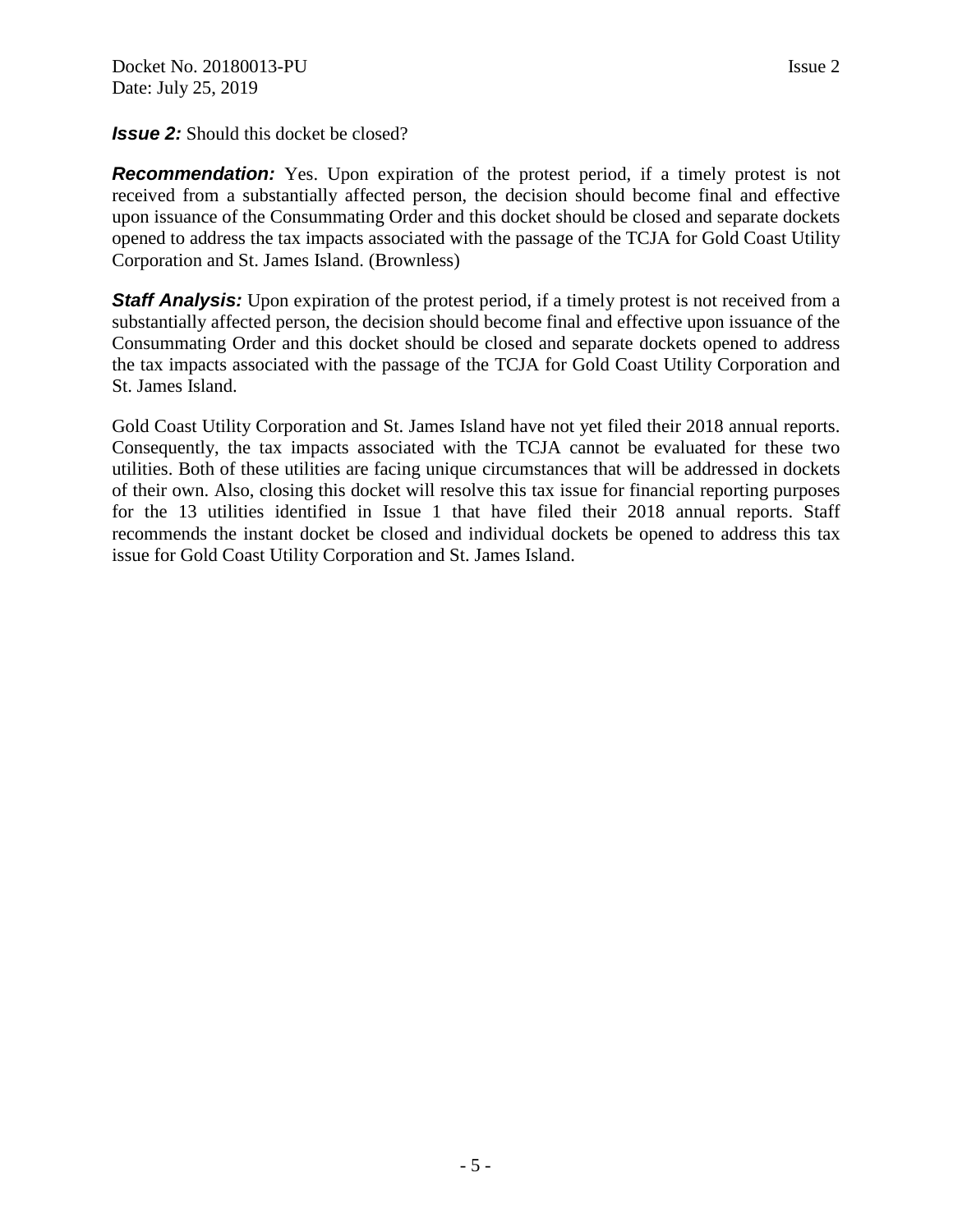**Recommendation:** Yes. Upon expiration of the protest period, if a timely protest is not received from a substantially affected person, the decision should become final and effective upon issuance of the Consummating Order and this docket should be closed and separate dockets opened to address the tax impacts associated with the passage of the TCJA for Gold Coast Utility Corporation and St. James Island. (Brownless)

**Staff Analysis:** Upon expiration of the protest period, if a timely protest is not received from a substantially affected person, the decision should become final and effective upon issuance of the Consummating Order and this docket should be closed and separate dockets opened to address the tax impacts associated with the passage of the TCJA for Gold Coast Utility Corporation and St. James Island.

Gold Coast Utility Corporation and St. James Island have not yet filed their 2018 annual reports. Consequently, the tax impacts associated with the TCJA cannot be evaluated for these two utilities. Both of these utilities are facing unique circumstances that will be addressed in dockets of their own. Also, closing this docket will resolve this tax issue for financial reporting purposes for the 13 utilities identified in Issue 1 that have filed their 2018 annual reports. Staff recommends the instant docket be closed and individual dockets be opened to address this tax issue for Gold Coast Utility Corporation and St. James Island.